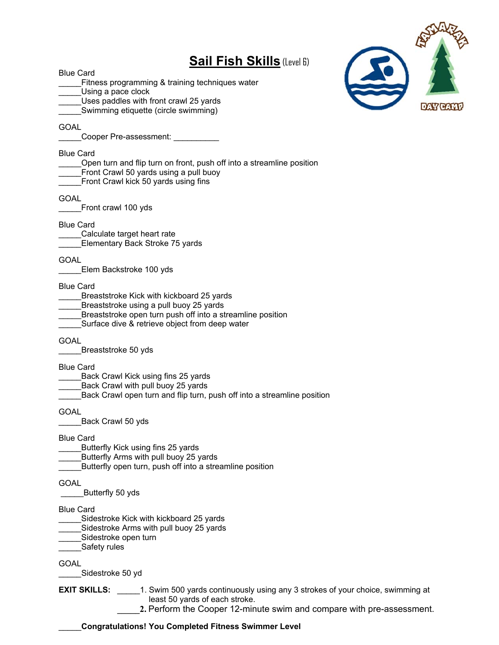## **Sail Fish Skills** (Level 6)



Blue Card Fitness programming & training techniques water Using a pace clock Uses paddles with front crawl 25 yards Swimming etiquette (circle swimming) GOAL Cooper Pre-assessment: Blue Card Open turn and flip turn on front, push off into a streamline position Front Crawl 50 yards using a pull buoy Front Crawl kick 50 yards using fins **GOAL** Front crawl 100 yds Blue Card Calculate target heart rate \_\_\_\_\_Elementary Back Stroke 75 yards **GOAL** Elem Backstroke 100 yds Blue Card Breaststroke Kick with kickboard 25 yards Breaststroke using a pull buoy 25 yards Breaststroke open turn push off into a streamline position Surface dive & retrieve object from deep water GOAL Breaststroke 50 yds Blue Card Back Crawl Kick using fins 25 yards Back Crawl with pull buoy 25 yards Back Crawl open turn and flip turn, push off into a streamline position **GOAL** Back Crawl 50 yds Blue Card Butterfly Kick using fins 25 yards Butterfly Arms with pull buoy 25 yards \_\_\_\_\_Butterfly open turn, push off into a streamline position GOAL \_\_\_\_\_Butterfly 50 yds Blue Card Sidestroke Kick with kickboard 25 yards Sidestroke Arms with pull buoy 25 yards Sidestroke open turn \_Safety rules **GOAL** \_\_\_\_\_Sidestroke 50 yd **EXIT SKILLS:** \_\_\_\_\_1. Swim 500 yards continuously using any 3 strokes of your choice, swimming at

least 50 yards of each stroke.

\_\_\_\_\_**Congratulations! You Completed Fitness Swimmer Level** 

**\_\_\_\_\_2.** Perform the Cooper 12-minute swim and compare with pre-assessment.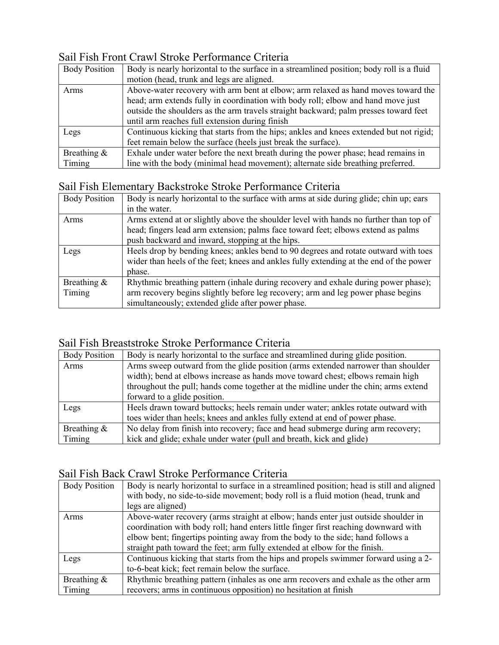## Sail Fish Front Crawl Stroke Performance Criteria

| <b>Body Position</b> | Body is nearly horizontal to the surface in a streamlined position; body roll is a fluid |
|----------------------|------------------------------------------------------------------------------------------|
|                      | motion (head, trunk and legs are aligned.                                                |
| Arms                 | Above-water recovery with arm bent at elbow; arm relaxed as hand moves toward the        |
|                      | head; arm extends fully in coordination with body roll; elbow and hand move just         |
|                      | outside the shoulders as the arm travels straight backward; palm presses toward feet     |
|                      | until arm reaches full extension during finish                                           |
| Legs                 | Continuous kicking that starts from the hips; ankles and knees extended but not rigid;   |
|                      | feet remain below the surface (heels just break the surface).                            |
| Breathing &          | Exhale under water before the next breath during the power phase; head remains in        |
| Timing               | line with the body (minimal head movement); alternate side breathing preferred.          |

#### Sail Fish Elementary Backstroke Stroke Performance Criteria

| <b>Body Position</b> | Body is nearly horizontal to the surface with arms at side during glide; chin up; ears |
|----------------------|----------------------------------------------------------------------------------------|
|                      | in the water.                                                                          |
| Arms                 | Arms extend at or slightly above the shoulder level with hands no further than top of  |
|                      | head; fingers lead arm extension; palms face toward feet; elbows extend as palms       |
|                      | push backward and inward, stopping at the hips.                                        |
| Legs                 | Heels drop by bending knees; ankles bend to 90 degrees and rotate outward with toes    |
|                      | wider than heels of the feet; knees and ankles fully extending at the end of the power |
|                      | phase.                                                                                 |
| Breathing &          | Rhythmic breathing pattern (inhale during recovery and exhale during power phase);     |
| Timing               | arm recovery begins slightly before leg recovery; arm and leg power phase begins       |
|                      | simultaneously; extended glide after power phase.                                      |

### Sail Fish Breaststroke Stroke Performance Criteria

| <b>Body Position</b> | Body is nearly horizontal to the surface and streamlined during glide position.     |
|----------------------|-------------------------------------------------------------------------------------|
| Arms                 | Arms sweep outward from the glide position (arms extended narrower than shoulder    |
|                      | width); bend at elbows increase as hands move toward chest; elbows remain high      |
|                      | throughout the pull; hands come together at the midline under the chin; arms extend |
|                      | forward to a glide position.                                                        |
| Legs                 | Heels drawn toward buttocks; heels remain under water; ankles rotate outward with   |
|                      | toes wider than heels; knees and ankles fully extend at end of power phase.         |
| Breathing $\&$       | No delay from finish into recovery; face and head submerge during arm recovery;     |
| Timing               | kick and glide; exhale under water (pull and breath, kick and glide)                |

## Sail Fish Back Crawl Stroke Performance Criteria

| <b>Body Position</b>     | Body is nearly horizontal to surface in a streamlined position; head is still and aligned<br>with body, no side-to-side movement; body roll is a fluid motion (head, trunk and<br>legs are aligned)                                                                                                                                       |
|--------------------------|-------------------------------------------------------------------------------------------------------------------------------------------------------------------------------------------------------------------------------------------------------------------------------------------------------------------------------------------|
| Arms                     | Above-water recovery (arms straight at elbow; hands enter just outside shoulder in<br>coordination with body roll; hand enters little finger first reaching downward with<br>elbow bent; fingertips pointing away from the body to the side; hand follows a<br>straight path toward the feet; arm fully extended at elbow for the finish. |
| Legs                     | Continuous kicking that starts from the hips and propels swimmer forward using a 2-<br>to-6-beat kick; feet remain below the surface.                                                                                                                                                                                                     |
| Breathing $\&$<br>Timing | Rhythmic breathing pattern (inhales as one arm recovers and exhale as the other arm<br>recovers; arms in continuous opposition) no hesitation at finish                                                                                                                                                                                   |